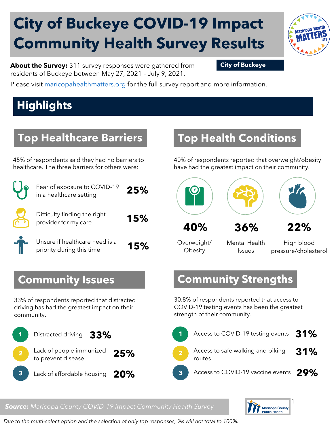# **City of Buckeye COVID-19 Impact Community Health Survey Results**



**About the Survey:** 311 survey responses were gathered from **City of Buckeye** residents of Buckeye between May 27, 2021 – July 9, 2021.

Please visit [maricopahealthmatters.org](https://www.maricopa.gov/5100/Health-Data-Maricopa-Health-Matters) for the full survey report and more information.

## **Highlights**

#### **Top Healthcare Barriers**

45% of respondents said they had no barriers to healthcare. The three barriers for others were:

| Fear of exposure to COVID-19<br>in a healthcare setting     | 25% |
|-------------------------------------------------------------|-----|
| Difficulty finding the right<br>provider for my care        | 15% |
| Unsure if healthcare need is a<br>priority during this time | 15% |

#### **Top Health Conditions**

40% of respondents reported that overweight/obesity have had the greatest impact on their community.



Overweight/ **Obesity** 

Mental Health Issues

High blood pressure/cholesterol

#### **Community Strengths**

30.8% of respondents reported that access to COVID-19 testing events has been the greatest strength of their community.

|     | 1 Access to COVID-19 testing events 31%           |  |
|-----|---------------------------------------------------|--|
| 25% | 2 Access to safe walking and biking 31%<br>routes |  |
| 20% | 3 Access to COVID-19 vaccine events 29%           |  |

# $\mathbf{r}$

**Community Issues**

33% of respondents reported that distracted driving has had the greatest impact on their community.



#### *Source: Maricopa County COVID-19 Impact Community Health Survey*



*Due to the multi-select option and the selection of only top responses, %s will not total to 100%.*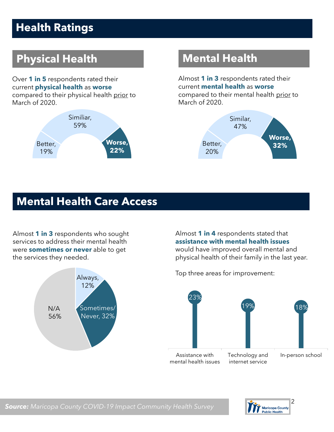## **Health Ratings**

## **Physical Health Mental Health**

Over **1 in 5** respondents rated their current **physical health** as **worse** compared to their physical health prior to March of 2020.



Almost **1 in 3** respondents rated their current **mental health** as **worse** compared to their mental health prior to March of 2020.



#### **Mental Health Care Access**

Almost **1 in 3** respondents who sought services to address their mental health were **sometimes or never** able to get the services they needed.



Almost **1 in 4** respondents stated that **assistance with mental health issues** would have improved overall mental and physical health of their family in the last year.

Top three areas for improvement:

23% 19% 18% Assistance with mental health issues Technology and internet service In-person school

![](_page_1_Picture_12.jpeg)

*Source: Maricopa County COVID-19 Impact Community Health Survey*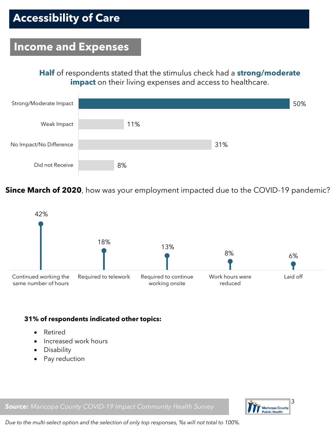## **Accessibility of Care**

#### **Income and Expenses**

**Half** of respondents stated that the stimulus check had a **strong/moderate impact** on their living expenses and access to healthcare.

![](_page_2_Figure_3.jpeg)

**Since March of 2020**, how was your employment impacted due to the COVID-19 pandemic?

![](_page_2_Figure_5.jpeg)

#### **31% of respondents indicated other topics:**

- Retired
- Increased work hours
- Disability
- Pay reduction

*Source: Maricopa County COVID-19 Impact Community Health Survey*

![](_page_2_Picture_12.jpeg)

*Due to the multi-select option and the selection of only top responses, %s will not total to 100%.*